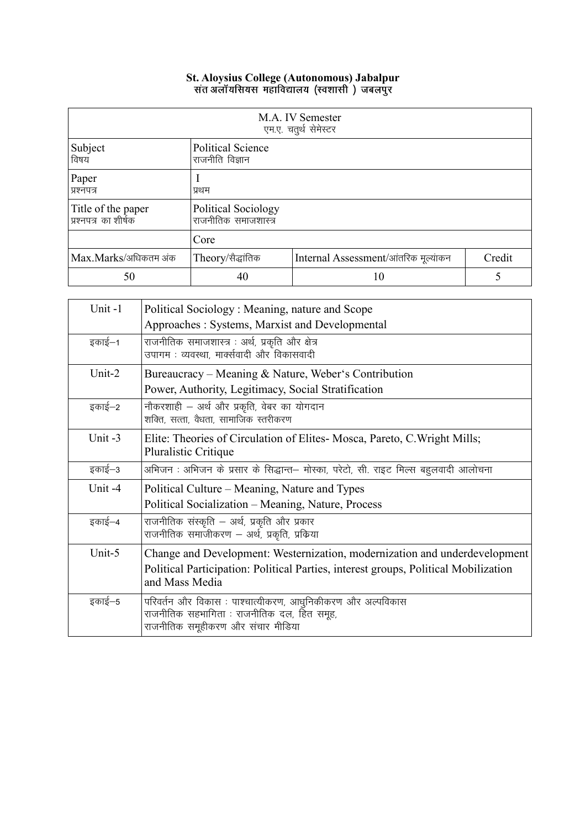| M.A. IV Semester<br>एम.ए. चतुर्थ सेमेस्टर  |                                             |                                      |        |
|--------------------------------------------|---------------------------------------------|--------------------------------------|--------|
| Subject<br>विषय                            | <b>Political Science</b><br>राजनीति विज्ञान |                                      |        |
| Paper<br>प्रश्नपत्र                        | प्रथम                                       |                                      |        |
| Title of the paper<br>प्रश्नपत्र का शीर्षक | Political Sociology<br>राजनीतिक समाजशास्त्र |                                      |        |
|                                            | Core                                        |                                      |        |
| Max.Marks/अधिकतम अंक                       | Theory/सैद्धांतिक                           | Internal Assessment/आंतरिक मूल्यांकन | Credit |
| 50                                         | 40                                          | 10                                   | 5      |

| Unit-1  | Political Sociology: Meaning, nature and Scope                                                                                                                                      |
|---------|-------------------------------------------------------------------------------------------------------------------------------------------------------------------------------------|
|         | Approaches: Systems, Marxist and Developmental                                                                                                                                      |
| इकाई–1  | राजनीतिक समाजशास्त्र : अर्थ, प्रकृति और क्षेत्र<br>उपागम : व्यवस्था, मार्क्सवादी और विकासवादी                                                                                       |
| Unit-2  | Bureaucracy – Meaning & Nature, Weber's Contribution<br>Power, Authority, Legitimacy, Social Stratification                                                                         |
| इकाई–2  | नौकरशाही – अर्थ और प्रकृति, वेबर का योगदान<br>शक्ति, सत्ता, वैधता, सामाजिक स्तरीकरण                                                                                                 |
| Unit -3 | Elite: Theories of Circulation of Elites-Mosca, Pareto, C. Wright Mills;<br>Pluralistic Critique                                                                                    |
| इकाई–3  | अभिजन : अभिजन के प्रसार के सिद्धान्त– मोस्का, परेटो, सी. राइट मिल्स बहुलवादी आलोचना                                                                                                 |
| Unit -4 | Political Culture – Meaning, Nature and Types<br>Political Socialization – Meaning, Nature, Process                                                                                 |
| इकाई–4  | राजनीतिक संस्कृति – अर्थ, प्रकृति और प्रकार<br>राजनीतिक समाजीकरण – अर्थ, प्रकृति, प्रक्रिया                                                                                         |
| Unit-5  | Change and Development: Westernization, modernization and underdevelopment<br>Political Participation: Political Parties, interest groups, Political Mobilization<br>and Mass Media |
| इकाई–5  | परिवर्तन और विकास : पाश्चात्यीकरण, आधुनिकीकरण और अल्पविकास<br>राजनीतिक सहभागिता : राजनीतिक दल, हित समूह,<br>राजनीतिक समूहीकरण और संचार मीडिया                                       |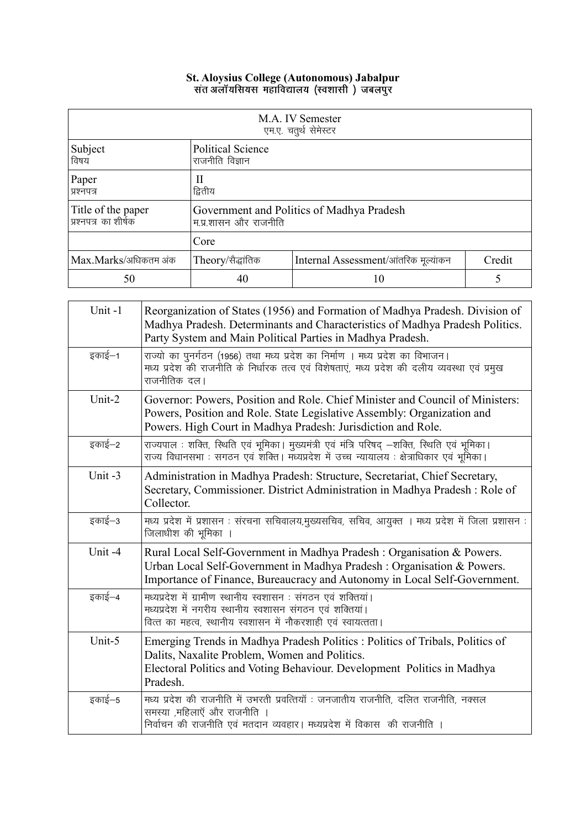| M.A. IV Semester<br>एम.ए. चतुर्थ सेमेस्टर  |                                                                     |    |  |
|--------------------------------------------|---------------------------------------------------------------------|----|--|
| Subject<br>विषय                            | <b>Political Science</b><br>राजनीति विज्ञान                         |    |  |
| Paper<br>प्रश्नपत्र                        | Н<br>द्वितीय                                                        |    |  |
| Title of the paper<br>प्रश्नपत्र का शीर्षक | Government and Politics of Madhya Pradesh<br>म.प्र.शासन और राजनीति  |    |  |
|                                            | Core                                                                |    |  |
| Max.Marks/अधिकतम अंक                       | Theory/सैद्धांतिक<br>Credit<br>Internal Assessment/आंतरिक मूल्यांकन |    |  |
| 50                                         | 40                                                                  | 10 |  |

| Unit-1 | Reorganization of States (1956) and Formation of Madhya Pradesh. Division of<br>Madhya Pradesh. Determinants and Characteristics of Madhya Pradesh Politics.<br>Party System and Main Political Parties in Madhya Pradesh.    |
|--------|-------------------------------------------------------------------------------------------------------------------------------------------------------------------------------------------------------------------------------|
| इकाई–1 | राज्यो का पुनर्गठन (1956) तथा मध्य प्रदेश का निर्माण । मध्य प्रदेश का विभाजन।<br>मध्य प्रदेश की राजनीति के निर्धारक तत्व एवं विशेषताएं, मध्य प्रदेश की दलीय व्यवस्था एवं प्रमुख<br>राजनीतिक दल।                               |
| Unit-2 | Governor: Powers, Position and Role. Chief Minister and Council of Ministers:<br>Powers, Position and Role. State Legislative Assembly: Organization and<br>Powers. High Court in Madhya Pradesh: Jurisdiction and Role.      |
| इकाई–2 | राज्यपाल : शक्ति, स्थिति एवं भूमिका   मुख्यमंत्री एवं मंत्रि परिषद् –शक्ति, स्थिति एवं भूमिका  <br>राज्य विधानसभा : सगठन एवं शक्ति । मध्यप्रदेश में उच्च न्यायालय : क्षेत्राधिकार एवं भूमिका ।                                |
| Unit-3 | Administration in Madhya Pradesh: Structure, Secretariat, Chief Secretary,<br>Secretary, Commissioner. District Administration in Madhya Pradesh : Role of<br>Collector.                                                      |
| इकाई–3 | मध्य प्रदेश में प्रशासन : संरचना सचिवालय,मुख्यसचिव, सचिव, आयुक्त । मध्य प्रदेश में जिला प्रशासन :<br>जिलाधीश की भूमिका ।                                                                                                      |
| Unit-4 | Rural Local Self-Government in Madhya Pradesh : Organisation & Powers.<br>Urban Local Self-Government in Madhya Pradesh : Organisation & Powers.<br>Importance of Finance, Bureaucracy and Autonomy in Local Self-Government. |
| इकाई–4 | मध्यप्रदेश में ग्रामीण स्थानीय स्वशासन : संगठन एवं शक्तियां।<br>मध्यप्रदेश में नगरीय स्थानीय स्वशासन संगठन एवं शक्तियां।<br>वित्त का महत्व, स्थानीय स्वशासन में नौकरशाही एवं स्वायत्तता।                                      |
| Unit-5 | Emerging Trends in Madhya Pradesh Politics : Politics of Tribals, Politics of<br>Dalits, Naxalite Problem, Women and Politics.<br>Electoral Politics and Voting Behaviour. Development Politics in Madhya<br>Pradesh.         |
| इकाई–5 | मध्य प्रदेश की राजनीति में उभरती प्रवत्तियॉ : जनजातीय राजनीति, दलित राजनीति, नक्सल<br>समस्या ,महिलाएँ और राजनीति ।<br>निर्वाचन की राजनीति एवं मतदान व्यवहार। मध्यप्रदेश में विकास की राजनीति ।                                |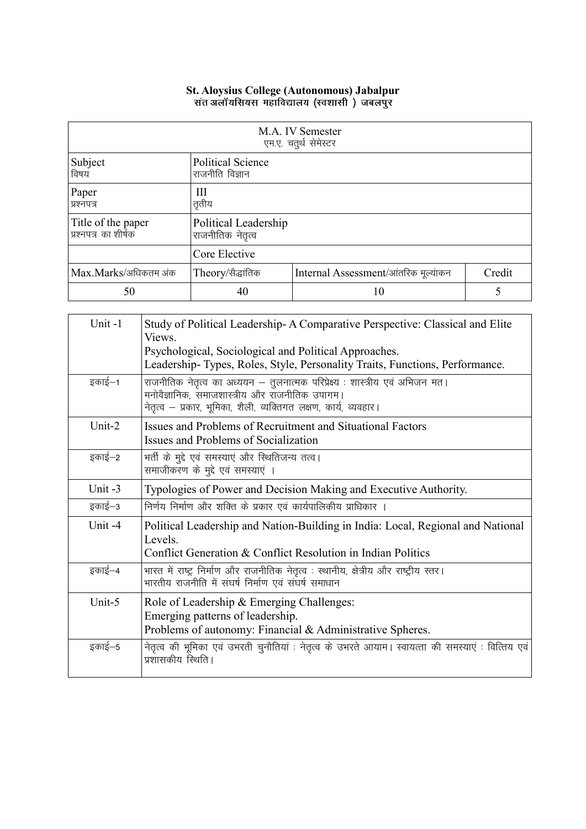### St. Aloysius College (Autonomous) Jabalpur<br>संत अलॉयसियस महाविद्यालय (स्वशासी ) जबलपुर

| M.A. IV Semester<br>एम.ए. चतुर्थ सेमेस्टर   |                                             |                                      |        |
|---------------------------------------------|---------------------------------------------|--------------------------------------|--------|
| Subject<br>विषय                             | <b>Political Science</b><br>राजनीति विज्ञान |                                      |        |
| Paper<br>प्रश्नपत्र                         | Ш<br>तृतीय                                  |                                      |        |
| Title of the paper<br> प्रश्नपत्र का शीर्षक | Political Leadership<br>राजनीतिक नेतृत्व    |                                      |        |
|                                             | Core Elective                               |                                      |        |
| Max.Marks/अधिकतम अंक                        | Theory/सैद्धांतिक                           | Internal Assessment/आंतरिक मूल्यांकन | Credit |
| 50                                          | 40                                          | 10                                   |        |

| Unit-1    | Study of Political Leadership-A Comparative Perspective: Classical and Elite<br>Views.<br>Psychological, Sociological and Political Approaches.<br>Leadership-Types, Roles, Style, Personality Traits, Functions, Performance. |
|-----------|--------------------------------------------------------------------------------------------------------------------------------------------------------------------------------------------------------------------------------|
| इकाई–1    | राजनीतिक नेतृत्व का अध्ययन – तुलनात्मक परिप्रेक्ष्य : शास्त्रीय एवं अभिजन मत।<br>मनोवैज्ञानिक, समाजशास्त्रीय और राजनीतिक उपागम।<br>नेतृत्व – प्रकार, भूमिका, शैली, व्यक्तिगत लक्षण, कार्य, व्यवहार।                            |
| Unit-2    | Issues and Problems of Recruitment and Situational Factors<br>Issues and Problems of Socialization                                                                                                                             |
| इकाई—2    | भर्ती के मुद्दे एवं समस्याएं और स्थितिजन्य तत्व।<br>समाजीकरण के मुद्दे एवं समस्याएं ।                                                                                                                                          |
| Unit $-3$ | Typologies of Power and Decision Making and Executive Authority.                                                                                                                                                               |
| इकाई–3    | निर्णय निर्माण और शक्ति के प्रकार एवं कार्यपालिकीय प्राधिकार ।                                                                                                                                                                 |
| Unit-4    | Political Leadership and Nation-Building in India: Local, Regional and National<br>Levels.<br>Conflict Generation & Conflict Resolution in Indian Politics                                                                     |
| इकाई–4    | भारत में राष्ट्र निर्माण और राजनीतिक नेतृत्व : स्थानीय, क्षेत्रीय और राष्ट्रीय स्तर।<br>भारतीय राजनीति में संघर्ष निर्माण एवं संघर्ष समाधान                                                                                    |
| Unit-5    | Role of Leadership & Emerging Challenges:<br>Emerging patterns of leadership.<br>Problems of autonomy: Financial & Administrative Spheres.                                                                                     |
| इकाई–5    | नेतृत्व की भूमिका एवं उभरती चुनौतियां : नेतृत्व के उभरते आयाम। स्वायत्ता की समस्याएं : वित्तिय एवं<br>प्रशासकीय स्थिति।                                                                                                        |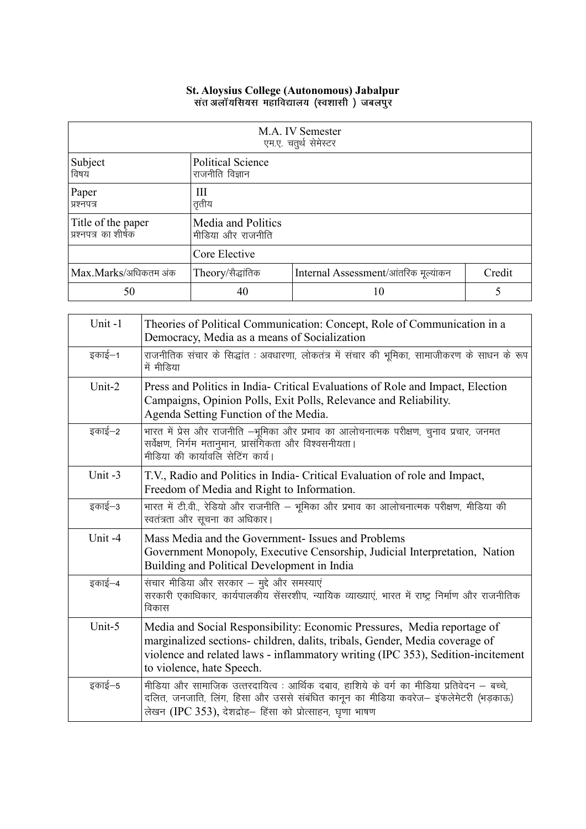| M.A. IV Semester<br>एम.ए. चतुर्थ सेमेस्टर  |                                             |                                      |        |
|--------------------------------------------|---------------------------------------------|--------------------------------------|--------|
| Subject<br>विषय                            | <b>Political Science</b><br>राजनीति विज्ञान |                                      |        |
| Paper<br>प्रश्नपत्र                        | Ш<br>तृतीय                                  |                                      |        |
| Title of the paper<br>प्रश्नपत्र का शीर्षक | Media and Politics<br>मीडिया और राजनीति     |                                      |        |
|                                            | Core Elective                               |                                      |        |
| Max.Marks/अधिकतम अंक                       | Theory/सैद्धांतिक                           | Internal Assessment/आंतरिक मूल्यांकन | Credit |
| 50                                         | 40                                          | 10                                   |        |

| Unit-1 | Theories of Political Communication: Concept, Role of Communication in a<br>Democracy, Media as a means of Socialization                                                                                                                                               |
|--------|------------------------------------------------------------------------------------------------------------------------------------------------------------------------------------------------------------------------------------------------------------------------|
| इकाई–1 | राजनीतिक संचार के सिद्धांत : अवधारणा, लोकतंत्र में संचार की भूमिका, सामाजीकरण के साधन के रूप<br>में मीडिया                                                                                                                                                             |
| Unit-2 | Press and Politics in India- Critical Evaluations of Role and Impact, Election<br>Campaigns, Opinion Polls, Exit Polls, Relevance and Reliability.<br>Agenda Setting Function of the Media.                                                                            |
| इकाई–2 | भारत में प्रेस और राजनीति –भूमिका और प्रभाव का आलोचनात्मक परीक्षण, चुनाव प्रचार, जनमत<br>सर्वेक्षण, निर्गम मतानुमान, प्रासंगिकता और विश्वसनीयता।<br>मीडिया की कार्यावलि सेटिंग कार्य।                                                                                  |
| Unit-3 | T.V., Radio and Politics in India- Critical Evaluation of role and Impact,<br>Freedom of Media and Right to Information.                                                                                                                                               |
| इकाई–3 | भारत में टी.वी., रेडियो और राजनीति – भूमिका और प्रभाव का आलोचनात्मक परीक्षण, मीडिया की<br>स्वतंत्रता और सूचना का अधिकार।                                                                                                                                               |
| Unit-4 | Mass Media and the Government- Issues and Problems<br>Government Monopoly, Executive Censorship, Judicial Interpretation, Nation<br>Building and Political Development in India                                                                                        |
| इकाई–4 | संचार मीडिया और सरकार – मुद्दे और समस्याएं<br>सरकारी एकाधिकार, कार्यपालकोय सेंसरशीप, न्यायिक व्याख्याएं, भारत में राष्ट्र निर्माण और राजनीतिक<br>विकास                                                                                                                 |
| Unit-5 | Media and Social Responsibility: Economic Pressures, Media reportage of<br>marginalized sections- children, dalits, tribals, Gender, Media coverage of<br>violence and related laws - inflammatory writing (IPC 353), Sedition-incitement<br>to violence, hate Speech. |
| इकाई–5 | मीडिया और सामाजिक उत्तरदायित्व : आर्थिक दबाव, हाशिये के वर्ग का मीडिया प्रतिवेदन – बच्चे,<br>दलित, जनजाति, लिंग, हिसा और उससे संबंधित कानून का मीडिया कवरेज– इफलेमेटरी (भड़काऊ)<br>लेखन (IPC 353), देशद्रोह– हिंसा को प्रोत्साहन, घृणा भाषण                            |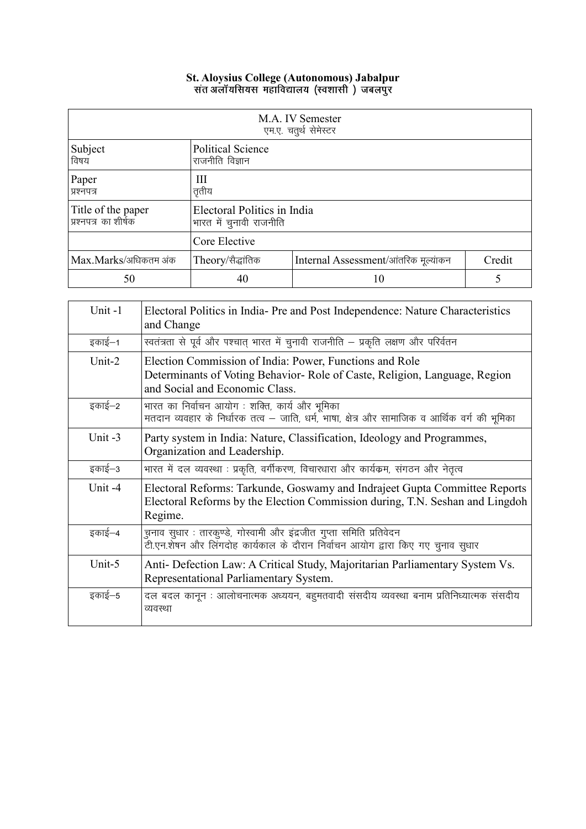| M.A. IV Semester<br>एम.ए. चतुर्थ सेमेस्टर  |                                                        |                                      |        |
|--------------------------------------------|--------------------------------------------------------|--------------------------------------|--------|
| Subject<br>विषय                            | <b>Political Science</b><br>राजनीति विज्ञान            |                                      |        |
| Paper<br>प्रश्नपत्र                        | Ш<br>तृतीय                                             |                                      |        |
| Title of the paper<br>प्रश्नपत्र का शीर्षक | Electoral Politics in India<br>भारत में चुनावी राजनीति |                                      |        |
|                                            | Core Elective                                          |                                      |        |
| Max.Marks/अधिकतम अंक                       | Theory/सैद्धांतिक                                      | Internal Assessment/आंतरिक मूल्यांकन | Credit |
| 50                                         | 40                                                     | 10                                   |        |

| Unit-1    | Electoral Politics in India-Pre and Post Independence: Nature Characteristics<br>and Change                                                                             |
|-----------|-------------------------------------------------------------------------------------------------------------------------------------------------------------------------|
| इकाई–1    | स्वतंत्रता से पूर्व और पश्चात् भारत में चुनावी राजनीति – प्रकृति लक्षण और परिर्वतन                                                                                      |
| Unit-2    | Election Commission of India: Power, Functions and Role<br>Determinants of Voting Behavior- Role of Caste, Religion, Language, Region<br>and Social and Economic Class. |
| इकाई–2    | भारत का निर्वाचन आयोग : शक्ति, कार्य और भूमिका<br>मतदान व्यवहार के निर्धारक तत्व – जाति, धर्म, भाषा, क्षेत्र और सामाजिक व आर्थिक वर्ग की भूमिका                         |
| Unit $-3$ | Party system in India: Nature, Classification, Ideology and Programmes,<br>Organization and Leadership.                                                                 |
| इकाई–3    | भारत में दल व्यवस्था : प्रकृति, वर्गीकरण, विचारधारा और कार्यक्रम, संगठन और नेतृत्व                                                                                      |
| Unit-4    | Electoral Reforms: Tarkunde, Goswamy and Indrajeet Gupta Committee Reports<br>Electoral Reforms by the Election Commission during, T.N. Seshan and Lingdoh<br>Regime.   |
| इकाई–4    | <u>चनाव सुधार : तारकुण्डे, गोस्वामी और इंद्रजीत गुप्ता समिति प्रतिवेदन</u><br>उँ<br>टी.एन.शेषन और लिंगदोह कार्यकाल के दौरान निर्वाचन आयोग द्वारा किए गए चुनाव सुधार     |
| Unit-5    | Anti- Defection Law: A Critical Study, Majoritarian Parliamentary System Vs.<br>Representational Parliamentary System.                                                  |
| इकाई–5    | दल बदल कानून : आलोचनात्मक अध्ययन, बहुमतवादी संसदीय व्यवस्था बनाम प्रतिनिध्यात्मक संसदीय<br>व्यवस्था                                                                     |